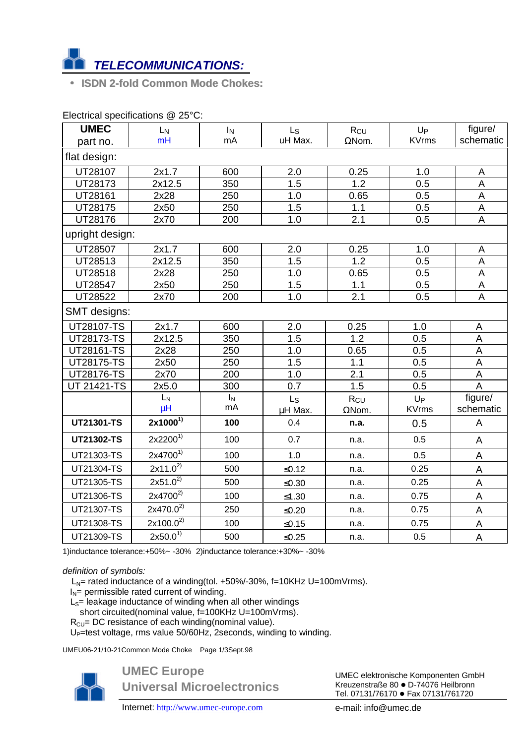

• **ISDN 2-fold Common Mode Chokes:**

| <b>UMEC</b>       | L <sub>N</sub> | IN    | $\mathsf{L}\mathsf{s}$ | Rcu              | $U_{P}$      | figure/                   |
|-------------------|----------------|-------|------------------------|------------------|--------------|---------------------------|
| part no.          | mH             | mA    | uH Max.                | $\Omega$ Nom.    | <b>KVrms</b> | schematic                 |
| flat design:      |                |       |                        |                  |              |                           |
| UT28107           | 2x1.7          | 600   | 2.0                    | 0.25             | 1.0          | A                         |
| UT28173           | 2x12.5         | 350   | 1.5                    | 1.2              | 0.5          | A                         |
| UT28161           | 2x28           | 250   | 1.0                    | 0.65             | 0.5          | $\overline{A}$            |
| UT28175           | 2x50           | 250   | 1.5                    | 1.1              | 0.5          | A                         |
| UT28176           | 2x70           | 200   | 1.0                    | $\overline{2.1}$ | 0.5          | $\overline{A}$            |
| upright design:   |                |       |                        |                  |              |                           |
| UT28507           | 2x1.7          | 600   | 2.0                    | 0.25             | 1.0          | A                         |
| UT28513           | 2x12.5         | 350   | 1.5                    | 1.2              | 0.5          | A                         |
| UT28518           | 2x28           | 250   | 1.0                    | 0.65             | 0.5          | $\overline{A}$            |
| UT28547           | 2x50           | 250   | 1.5                    | 1.1              | 0.5          | $\mathsf A$               |
| UT28522           | 2x70           | 200   | 1.0                    | 2.1              | 0.5          | A                         |
| SMT designs:      |                |       |                        |                  |              |                           |
| <b>UT28107-TS</b> | 2x1.7          | 600   | $\overline{2.0}$       | 0.25             | 1.0          | A                         |
| UT28173-TS        | 2x12.5         | 350   | 1.5                    | $\overline{1.2}$ | 0.5          | A                         |
| UT28161-TS        | 2x28           | 250   | 1.0                    | 0.65             | 0.5          | A                         |
| UT28175-TS        | 2x50           | 250   | 1.5                    | 1.1              | 0.5          | A                         |
| UT28176-TS        | 2x70           | 200   | 1.0                    | 2.1              | 0.5          | $\boldsymbol{\mathsf{A}}$ |
| UT 21421-TS       | 2x5.0          | 300   | 0.7                    | 1.5              | 0.5          | $\overline{A}$            |
|                   | $L_N$          | $I_N$ | Ls                     | R <sub>CU</sub>  | $U_{P}$      | figure/                   |
|                   | $\mu$ H        | mA    | µH Max.                | $\Omega$ Nom.    | <b>KVrms</b> | schematic                 |
| UT21301-TS        | $2x1000^{1}$   | 100   | 0.4                    | n.a.             | 0.5          | A                         |
| UT21302-TS        | $2x2200^{1}$   | 100   | 0.7                    | n.a.             | 0.5          | A                         |
| UT21303-TS        | $2x4700^{1}$   | 100   | 1.0                    | n.a.             | 0.5          | A                         |
| UT21304-TS        | $2x11.0^{27}$  | 500   | $≤0.12$                | n.a.             | 0.25         | A                         |
| UT21305-TS        | $2x51.0^{2}$   | 500   | $≤0.30$                | n.a.             | 0.25         | $\mathsf A$               |
| UT21306-TS        | $2x4700^{2}$   | 100   | $≤1.30$                | n.a.             | 0.75         | A                         |
| UT21307-TS        | $2x470.0^{2}$  | 250   | $≤0.20$                | n.a.             | 0.75         | A                         |
| UT21308-TS        | $2x100.0^{2}$  | 100   | $≤0.15$                | n.a.             | 0.75         | A                         |
| UT21309-TS        | $2x50.0^{1}$   | 500   | $≤0.25$                | n.a.             | 0.5          | A                         |

Electrical specifications @ 25°C:

1)inductance tolerance:+50%~ -30% 2)inductance tolerance:+30%~ -30%

## *definition of symbols:*

 $L_N$ = rated inductance of a winding(tol. +50%/-30%, f=10KHz U=100mVrms).

- $I_N$ = permissible rated current of winding.
- $L<sub>S</sub>=$  leakage inductance of winding when all other windings
- short circuited(nominal value, f=100KHz U=100mVrms).
- $R_{CU}$ = DC resistance of each winding(nominal value).

U<sub>P</sub>=test voltage, rms value 50/60Hz, 2seconds, winding to winding.

UMEU06-21/10-21Common Mode Choke Page 1/3Sept.98



**UMEC Europe Universal Microelectronics**

Internet: http://www.umec-europe.com e-mail: info@umec.de

UMEC elektronische Komponenten GmbH Kreuzenstraße 80 · D-74076 Heilbronn Tel. 07131/76170 · Fax 07131/761720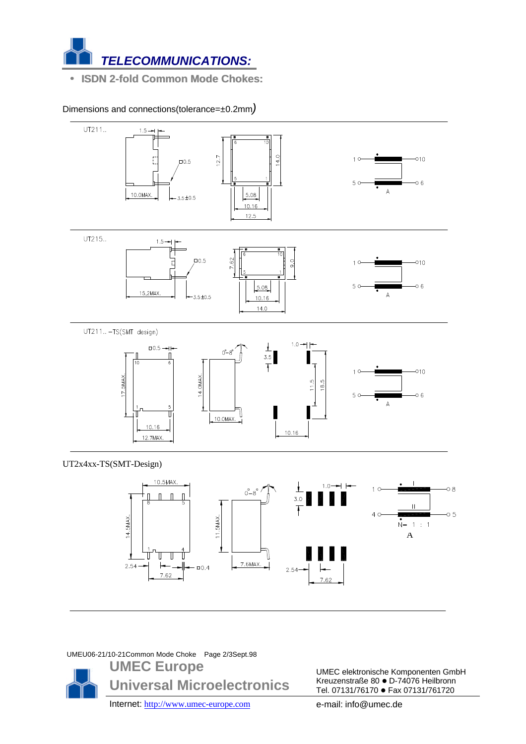

• **ISDN 2-fold Common Mode Chokes:**

Dimensions and connections(tolerance=±0.2mm*)*



 $2.54$ 

7.62

UMEU06-21/10-21Common Mode Choke Page 2/3Sept.98

 $7.62$ 

2.54



 $-0.4$ 

UMEC elektronische Komponenten GmbH Kreuzenstraße 80 · D-74076 Heilbronn Tel. 07131/76170 · Fax 07131/761720

Internet: http://www.umec-europe.com e-mail: info@umec.de